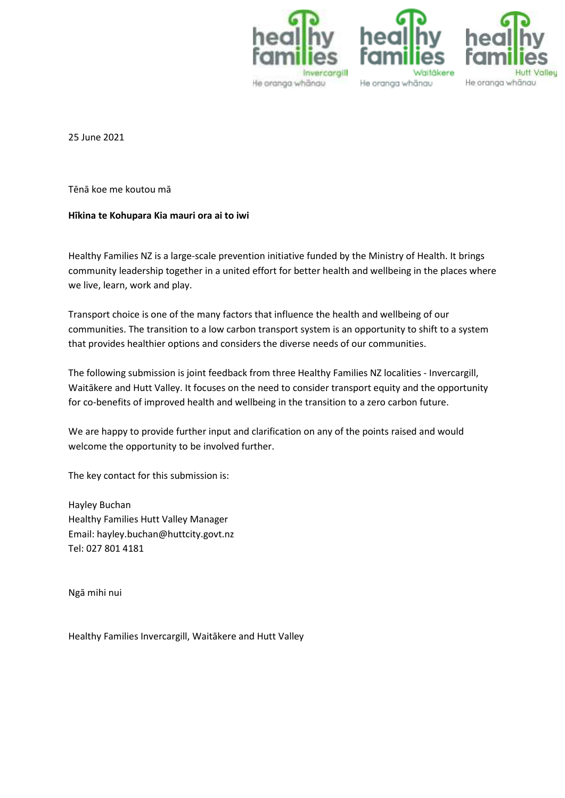





25 June 2021

Tēnā koe me koutou mā

#### **Hīkina te Kohupara Kia mauri ora ai to iwi**

Healthy Families NZ is a large-scale prevention initiative funded by the Ministry of Health. It brings community leadership together in a united effort for better health and wellbeing in the places where we live, learn, work and play.

Transport choice is one of the many factors that influence the health and wellbeing of our communities. The transition to a low carbon transport system is an opportunity to shift to a system that provides healthier options and considers the diverse needs of our communities.

The following submission is joint feedback from three Healthy Families NZ localities - Invercargill, Waitākere and Hutt Valley. It focuses on the need to consider transport equity and the opportunity for co-benefits of improved health and wellbeing in the transition to a zero carbon future.

We are happy to provide further input and clarification on any of the points raised and would welcome the opportunity to be involved further.

The key contact for this submission is:

Hayley Buchan Healthy Families Hutt Valley Manager Email: hayley.buchan@huttcity.govt.nz Tel: 027 801 4181

Ngā mihi nui

Healthy Families Invercargill, Waitākere and Hutt Valley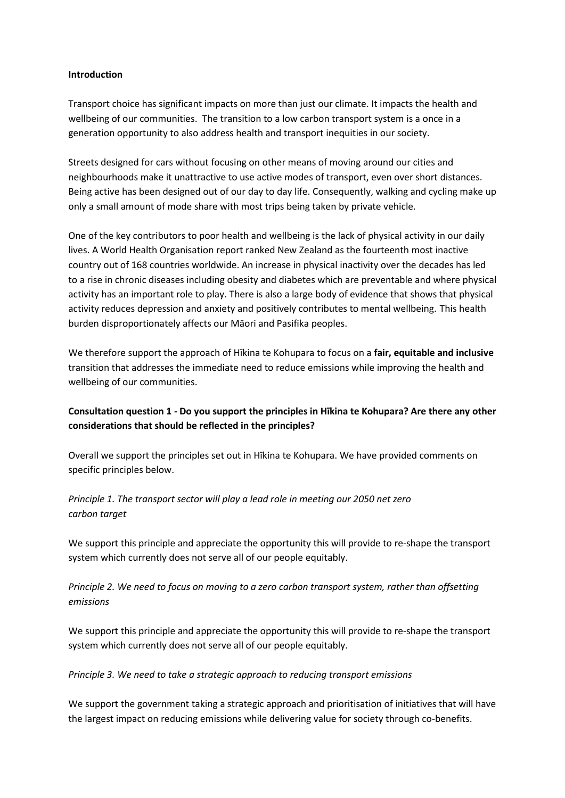#### **Introduction**

Transport choice has significant impacts on more than just our climate. It impacts the health and wellbeing of our communities. The transition to a low carbon transport system is a once in a generation opportunity to also address health and transport inequities in our society.

Streets designed for cars without focusing on other means of moving around our cities and neighbourhoods make it unattractive to use active modes of transport, even over short distances. Being active has been designed out of our day to day life. Consequently, walking and cycling make up only a small amount of mode share with most trips being taken by private vehicle.

One of the key contributors to poor health and wellbeing is the lack of physical activity in our daily lives. A World Health Organisation report ranked New Zealand as the fourteenth most inactive country out of 168 countries worldwide. An increase in physical inactivity over the decades has led to a rise in chronic diseases including obesity and diabetes which are preventable and where physical activity has an important role to play. There is also a large body of evidence that shows that physical activity reduces depression and anxiety and positively contributes to mental wellbeing. This health burden disproportionately affects our Māori and Pasifika peoples.

We therefore support the approach of Hīkina te Kohupara to focus on a **fair, equitable and inclusive** transition that addresses the immediate need to reduce emissions while improving the health and wellbeing of our communities.

### **Consultation question 1 - Do you support the principles in Hīkina te Kohupara? Are there any other considerations that should be reflected in the principles?**

Overall we support the principles set out in Hīkina te Kohupara. We have provided comments on specific principles below.

*Principle 1. The transport sector will play a lead role in meeting our 2050 net zero carbon target* 

We support this principle and appreciate the opportunity this will provide to re-shape the transport system which currently does not serve all of our people equitably.

*Principle 2. We need to focus on moving to a zero carbon transport system, rather than offsetting emissions* 

We support this principle and appreciate the opportunity this will provide to re-shape the transport system which currently does not serve all of our people equitably.

#### *Principle 3. We need to take a strategic approach to reducing transport emissions*

We support the government taking a strategic approach and prioritisation of initiatives that will have the largest impact on reducing emissions while delivering value for society through co-benefits.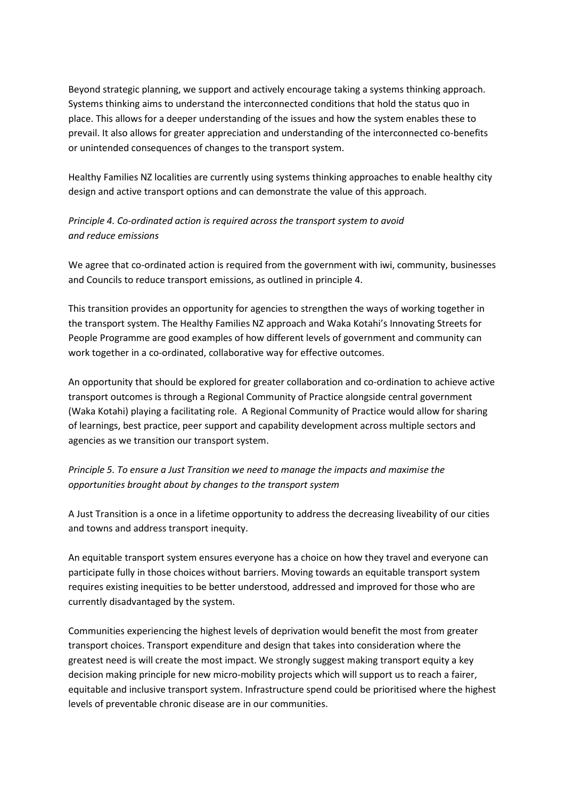Beyond strategic planning, we support and actively encourage taking a systems thinking approach. Systems thinking aims to understand the interconnected conditions that hold the status quo in place. This allows for a deeper understanding of the issues and how the system enables these to prevail. It also allows for greater appreciation and understanding of the interconnected co-benefits or unintended consequences of changes to the transport system.

Healthy Families NZ localities are currently using systems thinking approaches to enable healthy city design and active transport options and can demonstrate the value of this approach.

# *Principle 4. Co-ordinated action is required across the transport system to avoid and reduce emissions*

We agree that co-ordinated action is required from the government with iwi, community, businesses and Councils to reduce transport emissions, as outlined in principle 4.

This transition provides an opportunity for agencies to strengthen the ways of working together in the transport system. The Healthy Families NZ approach and Waka Kotahi's Innovating Streets for People Programme are good examples of how different levels of government and community can work together in a co-ordinated, collaborative way for effective outcomes.

An opportunity that should be explored for greater collaboration and co-ordination to achieve active transport outcomes is through a Regional Community of Practice alongside central government (Waka Kotahi) playing a facilitating role. A Regional Community of Practice would allow for sharing of learnings, best practice, peer support and capability development across multiple sectors and agencies as we transition our transport system.

# *Principle 5. To ensure a Just Transition we need to manage the impacts and maximise the opportunities brought about by changes to the transport system*

A Just Transition is a once in a lifetime opportunity to address the decreasing liveability of our cities and towns and address transport inequity.

An equitable transport system ensures everyone has a choice on how they travel and everyone can participate fully in those choices without barriers. Moving towards an equitable transport system requires existing inequities to be better understood, addressed and improved for those who are currently disadvantaged by the system.

Communities experiencing the highest levels of deprivation would benefit the most from greater transport choices. Transport expenditure and design that takes into consideration where the greatest need is will create the most impact. We strongly suggest making transport equity a key decision making principle for new micro-mobility projects which will support us to reach a fairer, equitable and inclusive transport system. Infrastructure spend could be prioritised where the highest levels of preventable chronic disease are in our communities.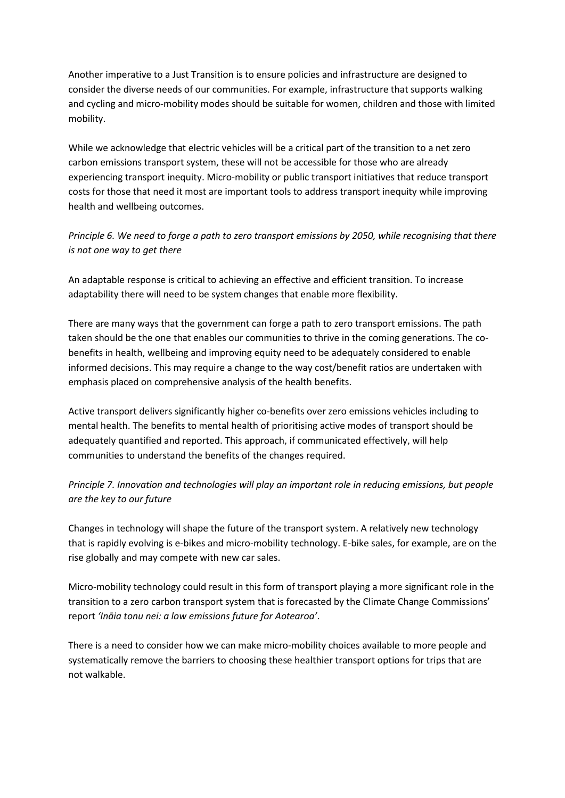Another imperative to a Just Transition is to ensure policies and infrastructure are designed to consider the diverse needs of our communities. For example, infrastructure that supports walking and cycling and micro-mobility modes should be suitable for women, children and those with limited mobility.

While we acknowledge that electric vehicles will be a critical part of the transition to a net zero carbon emissions transport system, these will not be accessible for those who are already experiencing transport inequity. Micro-mobility or public transport initiatives that reduce transport costs for those that need it most are important tools to address transport inequity while improving health and wellbeing outcomes.

*Principle 6. We need to forge a path to zero transport emissions by 2050, while recognising that there is not one way to get there* 

An adaptable response is critical to achieving an effective and efficient transition. To increase adaptability there will need to be system changes that enable more flexibility.

There are many ways that the government can forge a path to zero transport emissions. The path taken should be the one that enables our communities to thrive in the coming generations. The cobenefits in health, wellbeing and improving equity need to be adequately considered to enable informed decisions. This may require a change to the way cost/benefit ratios are undertaken with emphasis placed on comprehensive analysis of the health benefits.

Active transport delivers significantly higher co-benefits over zero emissions vehicles including to mental health. The benefits to mental health of prioritising active modes of transport should be adequately quantified and reported. This approach, if communicated effectively, will help communities to understand the benefits of the changes required.

# *Principle 7. Innovation and technologies will play an important role in reducing emissions, but people are the key to our future*

Changes in technology will shape the future of the transport system. A relatively new technology that is rapidly evolving is e-bikes and micro-mobility technology. E-bike sales, for example, are on the rise globally and may compete with new car sales.

Micro-mobility technology could result in this form of transport playing a more significant role in the transition to a zero carbon transport system that is forecasted by the Climate Change Commissions' report *'Ināia tonu nei: a low emissions future for Aotearoa'*.

There is a need to consider how we can make micro-mobility choices available to more people and systematically remove the barriers to choosing these healthier transport options for trips that are not walkable.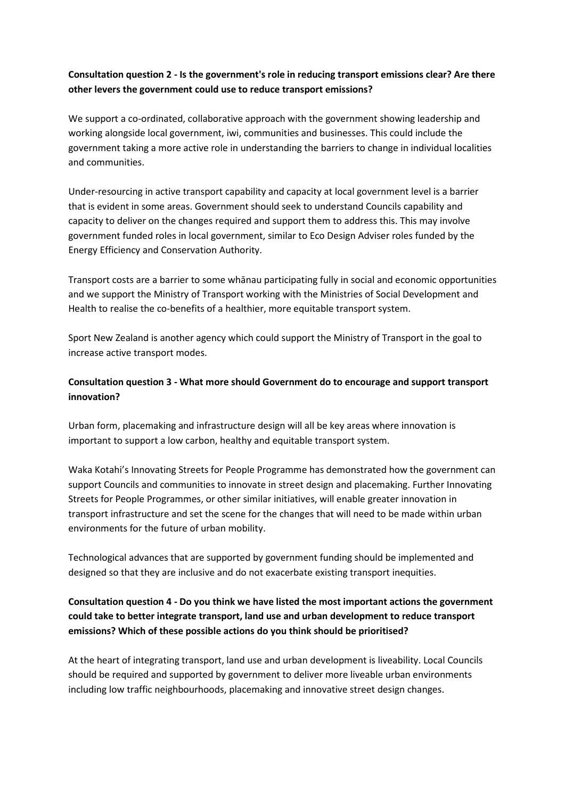# **Consultation question 2 - Is the government's role in reducing transport emissions clear? Are there other levers the government could use to reduce transport emissions?**

We support a co-ordinated, collaborative approach with the government showing leadership and working alongside local government, iwi, communities and businesses. This could include the government taking a more active role in understanding the barriers to change in individual localities and communities.

Under-resourcing in active transport capability and capacity at local government level is a barrier that is evident in some areas. Government should seek to understand Councils capability and capacity to deliver on the changes required and support them to address this. This may involve government funded roles in local government, similar to Eco Design Adviser roles funded by the Energy Efficiency and Conservation Authority.

Transport costs are a barrier to some whānau participating fully in social and economic opportunities and we support the Ministry of Transport working with the Ministries of Social Development and Health to realise the co-benefits of a healthier, more equitable transport system.

Sport New Zealand is another agency which could support the Ministry of Transport in the goal to increase active transport modes.

## **Consultation question 3 - What more should Government do to encourage and support transport innovation?**

Urban form, placemaking and infrastructure design will all be key areas where innovation is important to support a low carbon, healthy and equitable transport system.

Waka Kotahi's Innovating Streets for People Programme has demonstrated how the government can support Councils and communities to innovate in street design and placemaking. Further Innovating Streets for People Programmes, or other similar initiatives, will enable greater innovation in transport infrastructure and set the scene for the changes that will need to be made within urban environments for the future of urban mobility.

Technological advances that are supported by government funding should be implemented and designed so that they are inclusive and do not exacerbate existing transport inequities.

# **Consultation question 4 - Do you think we have listed the most important actions the government could take to better integrate transport, land use and urban development to reduce transport emissions? Which of these possible actions do you think should be prioritised?**

At the heart of integrating transport, land use and urban development is liveability. Local Councils should be required and supported by government to deliver more liveable urban environments including low traffic neighbourhoods, placemaking and innovative street design changes.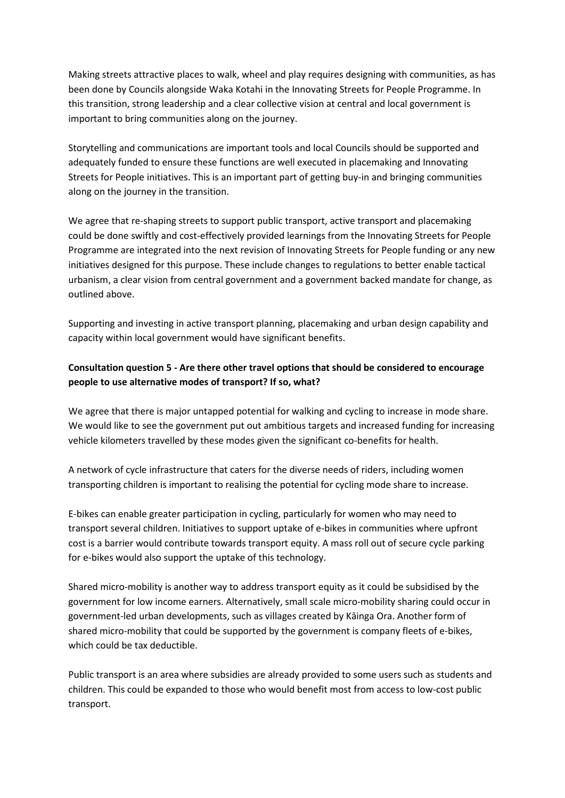Making streets attractive places to walk, wheel and play requires designing with communities, as has been done by Councils alongside Waka Kotahi in the Innovating Streets for People Programme. In this transition, strong leadership and a clear collective vision at central and local government is important to bring communities along on the journey.

Storytelling and communications are important tools and local Councils should be supported and adequately funded to ensure these functions are well executed in placemaking and Innovating Streets for People initiatives. This is an important part of getting buy-in and bringing communities along on the journey in the transition.

We agree that re-shaping streets to support public transport, active transport and placemaking could be done swiftly and cost-effectively provided learnings from the Innovating Streets for People Programme are integrated into the next revision of Innovating Streets for People funding or any new initiatives designed for this purpose. These include changes to regulations to better enable tactical urbanism, a clear vision from central government and a government backed mandate for change, as outlined above.

Supporting and investing in active transport planning, placemaking and urban design capability and capacity within local government would have significant benefits.

## **Consultation question 5 - Are there other travel options that should be considered to encourage people to use alternative modes of transport? If so, what?**

We agree that there is major untapped potential for walking and cycling to increase in mode share. We would like to see the government put out ambitious targets and increased funding for increasing vehicle kilometers travelled by these modes given the significant co-benefits for health.

A network of cycle infrastructure that caters for the diverse needs of riders, including women transporting children is important to realising the potential for cycling mode share to increase.

E-bikes can enable greater participation in cycling, particularly for women who may need to transport several children. Initiatives to support uptake of e-bikes in communities where upfront cost is a barrier would contribute towards transport equity. A mass roll out of secure cycle parking for e-bikes would also support the uptake of this technology.

Shared micro-mobility is another way to address transport equity as it could be subsidised by the government for low income earners. Alternatively, small scale micro-mobility sharing could occur in government-led urban developments, such as villages created by Kāinga Ora. Another form of shared micro-mobility that could be supported by the government is company fleets of e-bikes, which could be tax deductible.

Public transport is an area where subsidies are already provided to some users such as students and children. This could be expanded to those who would benefit most from access to low-cost public transport.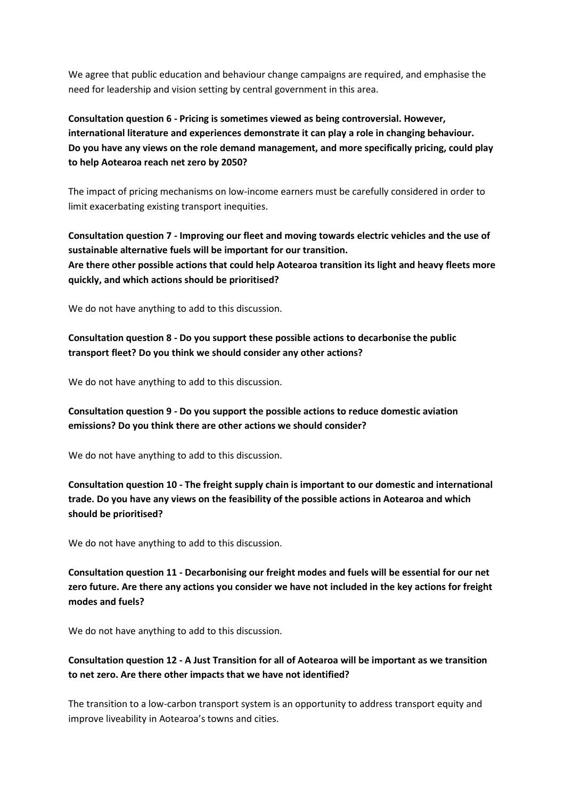We agree that public education and behaviour change campaigns are required, and emphasise the need for leadership and vision setting by central government in this area.

**Consultation question 6 - Pricing is sometimes viewed as being controversial. However, international literature and experiences demonstrate it can play a role in changing behaviour. Do you have any views on the role demand management, and more specifically pricing, could play to help Aotearoa reach net zero by 2050?** 

The impact of pricing mechanisms on low-income earners must be carefully considered in order to limit exacerbating existing transport inequities.

**Consultation question 7 - Improving our fleet and moving towards electric vehicles and the use of sustainable alternative fuels will be important for our transition. Are there other possible actions that could help Aotearoa transition its light and heavy fleets more quickly, and which actions should be prioritised?** 

We do not have anything to add to this discussion.

**Consultation question 8 - Do you support these possible actions to decarbonise the public transport fleet? Do you think we should consider any other actions?** 

We do not have anything to add to this discussion.

**Consultation question 9 - Do you support the possible actions to reduce domestic aviation emissions? Do you think there are other actions we should consider?** 

We do not have anything to add to this discussion.

**Consultation question 10 - The freight supply chain is important to our domestic and international trade. Do you have any views on the feasibility of the possible actions in Aotearoa and which should be prioritised?** 

We do not have anything to add to this discussion.

**Consultation question 11 - Decarbonising our freight modes and fuels will be essential for our net zero future. Are there any actions you consider we have not included in the key actions for freight modes and fuels?** 

We do not have anything to add to this discussion.

### **Consultation question 12 - A Just Transition for all of Aotearoa will be important as we transition to net zero. Are there other impacts that we have not identified?**

The transition to a low-carbon transport system is an opportunity to address transport equity and improve liveability in Aotearoa's towns and cities.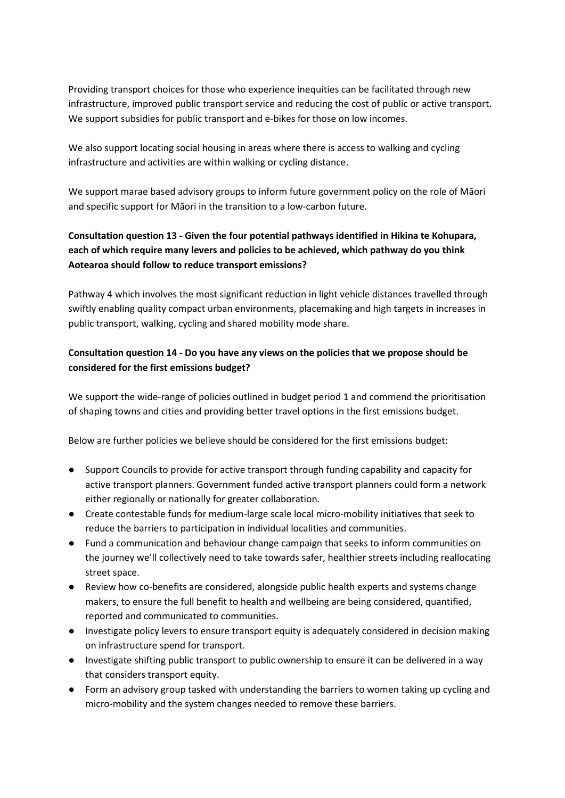Providing transport choices for those who experience inequities can be facilitated through new infrastructure, improved public transport service and reducing the cost of public or active transport. We support subsidies for public transport and e-bikes for those on low incomes.

We also support locating social housing in areas where there is access to walking and cycling infrastructure and activities are within walking or cycling distance.

We support marae based advisory groups to inform future government policy on the role of Māori and specific support for Māori in the transition to a low-carbon future.

# **Consultation question 13 - Given the four potential pathways identified in Hikina te Kohupara, each of which require many levers and policies to be achieved, which pathway do you think Aotearoa should follow to reduce transport emissions?**

Pathway 4 which involves the most significant reduction in light vehicle distances travelled through swiftly enabling quality compact urban environments, placemaking and high targets in increases in public transport, walking, cycling and shared mobility mode share.

# **Consultation question 14 - Do you have any views on the policies that we propose should be considered for the first emissions budget?**

We support the wide-range of policies outlined in budget period 1 and commend the prioritisation of shaping towns and cities and providing better travel options in the first emissions budget.

Below are further policies we believe should be considered for the first emissions budget:

- Support Councils to provide for active transport through funding capability and capacity for active transport planners. Government funded active transport planners could form a network either regionally or nationally for greater collaboration.
- Create contestable funds for medium-large scale local micro-mobility initiatives that seek to reduce the barriers to participation in individual localities and communities.
- Fund a communication and behaviour change campaign that seeks to inform communities on the journey we'll collectively need to take towards safer, healthier streets including reallocating street space.
- Review how co-benefits are considered, alongside public health experts and systems change makers, to ensure the full benefit to health and wellbeing are being considered, quantified, reported and communicated to communities.
- Investigate policy levers to ensure transport equity is adequately considered in decision making on infrastructure spend for transport.
- Investigate shifting public transport to public ownership to ensure it can be delivered in a way that considers transport equity.
- Form an advisory group tasked with understanding the barriers to women taking up cycling and micro-mobility and the system changes needed to remove these barriers.